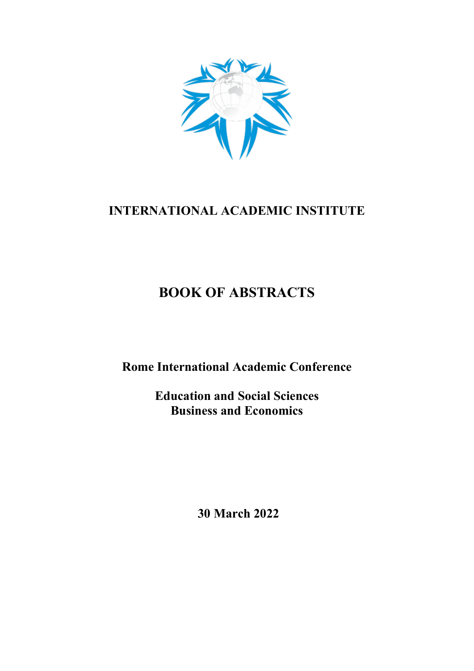

## **INTERNATIONAL ACADEMIC INSTITUTE**

# **BOOK OF ABSTRACTS**

**Rome International Academic Conference**

**Education and Social Sciences Business and Economics**

**30 March 2022**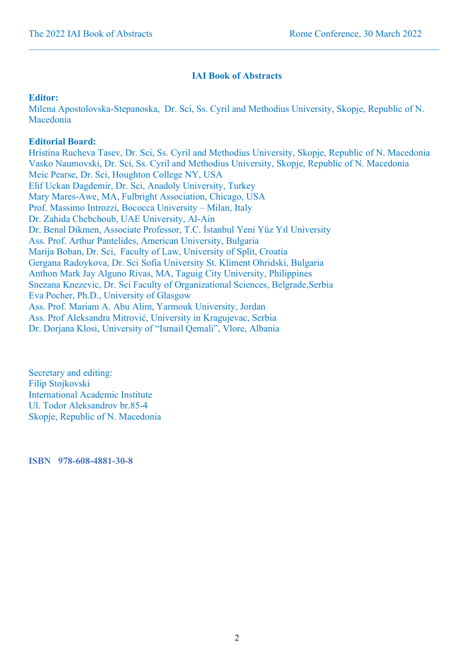### **IAI Book of Abstracts**

 $\_$  , and the state of the state of the state of the state of the state of the state of the state of the state of the state of the state of the state of the state of the state of the state of the state of the state of the

### **Editor:**

Milena Apostolovska-Stepanoska, Dr. Sci, Ss. Cyril and Methodius University, Skopje, Republic of N. Macedonia

### **Editorial Board:**

Hristina Rucheva Tasev, Dr. Sci, Ss. Cyril and Methodius University, Skopje, Republic of N. Macedonia Vasko Naumovski, Dr. Sci, Ss. Cyril and Methodius University, Skopje, Republic of N. Macedonia Meic Pearse, Dr. Sci, Houghton College NY, USA Elif Uckan Dagdemir, Dr. Sci, Anadoly University, Turkey Mary Mares-Awe, MA, Fulbright Association, Chicago, USA Prof. Massimo Introzzi, Bococca University – Milan, Italy Dr. Zahida Chebchoub, UAE University, Al-Ain Dr. Benal Dikmen, Associate Professor, T.C. İstanbul Yeni Yüz Yıl University Ass. Prof. Arthur Pantelides, American University, Bulgaria Marija Boban, Dr. Sci, Faculty of Law, University of Split, Croatia Gergana Radoykova, Dr. Sci Sofia University St. Kliment Ohridski, Bulgaria Anthon Mark Jay Alguno Rivas, MA, Taguig City University, Philippines Snezana Knezevic, Dr. Sci Faculty of Organizational Sciences, Belgrade,Serbia Eva Pocher, Ph.D., University of Glasgow Ass. Prof. Mariam A. Abu Alim, Yarmouk University, Jordan Ass. Prof Aleksandra Mitrović, University in Kragujevac, Serbia Dr. Dorjana Klosi, University of "Ismail Qemali", Vlore, Albania

Secretary and editing: Filip Stojkovski International Academic Institute Ul. Todor Aleksandrov br.85-4 Skopje, Republic of N. Macedonia

**ISBN 978-608-4881-30-8**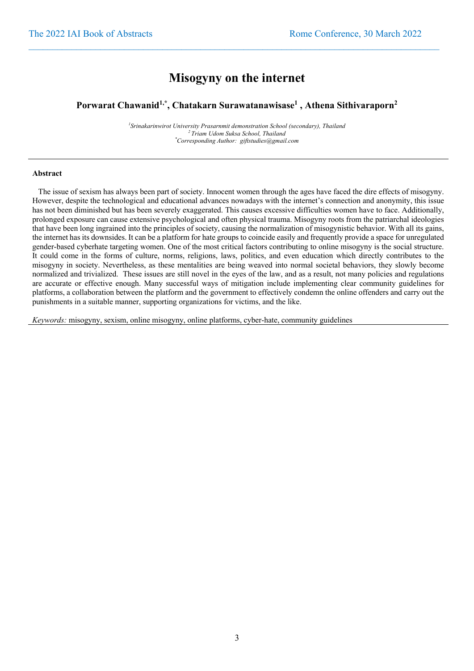## **Misogyny on the internet**

 $\_$  , and the state of the state of the state of the state of the state of the state of the state of the state of the state of the state of the state of the state of the state of the state of the state of the state of the

#### **Porwarat Chawanid1,\*, Chatakarn Surawatanawisase1 , Athena Sithivaraporn2**

*1 Srinakarinwirot University Prasarnmit demonstration School (secondary), Thailand 2 Triam Udom Suksa School, Thailand \* Corresponding Author: giftstudies@gmail.com*

#### **Abstract**

 The issue of sexism has always been part of society. Innocent women through the ages have faced the dire effects of misogyny. However, despite the technological and educational advances nowadays with the internet's connection and anonymity, this issue has not been diminished but has been severely exaggerated. This causes excessive difficulties women have to face. Additionally, prolonged exposure can cause extensive psychological and often physical trauma. Misogyny roots from the patriarchal ideologies that have been long ingrained into the principles of society, causing the normalization of misogynistic behavior. With all its gains, the internet has its downsides. It can be a platform for hate groups to coincide easily and frequently provide a space for unregulated gender-based cyberhate targeting women. One of the most critical factors contributing to online misogyny is the social structure. It could come in the forms of culture, norms, religions, laws, politics, and even education which directly contributes to the misogyny in society. Nevertheless, as these mentalities are being weaved into normal societal behaviors, they slowly become normalized and trivialized. These issues are still novel in the eyes of the law, and as a result, not many policies and regulations are accurate or effective enough. Many successful ways of mitigation include implementing clear community guidelines for platforms, a collaboration between the platform and the government to effectively condemn the online offenders and carry out the punishments in a suitable manner, supporting organizations for victims, and the like.

*Keywords:* misogyny, sexism, online misogyny, online platforms, cyber-hate, community guidelines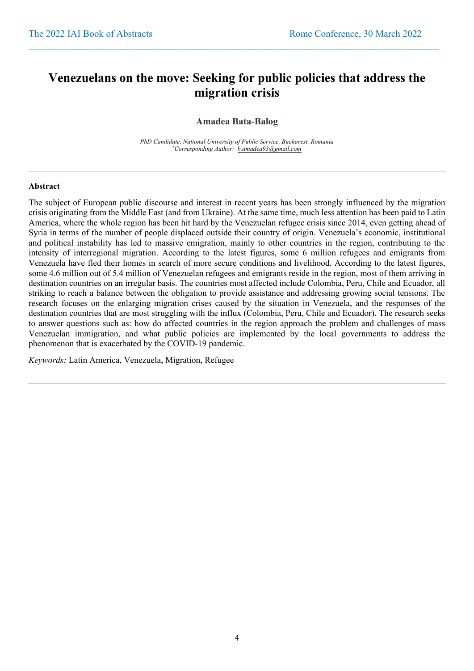## **Venezuelans on the move: Seeking for public policies that address the migration crisis**

 $\_$  , and the state of the state of the state of the state of the state of the state of the state of the state of the state of the state of the state of the state of the state of the state of the state of the state of the

### **Amadea Bata-Balog**

*PhD Candidate, National University of Public Service, Bucharest, Romania \* Corresponding Author: b.amadea93@gmail.com*

#### **Abstract**

The subject of European public discourse and interest in recent years has been strongly influenced by the migration crisis originating from the Middle East (and from Ukraine). At the same time, much less attention has been paid to Latin America, where the whole region has been hit hard by the Venezuelan refugee crisis since 2014, even getting ahead of Syria in terms of the number of people displaced outside their country of origin. Venezuela's economic, institutional and political instability has led to massive emigration, mainly to other countries in the region, contributing to the intensity of interregional migration. According to the latest figures, some 6 million refugees and emigrants from Venezuela have fled their homes in search of more secure conditions and livelihood. According to the latest figures, some 4.6 million out of 5.4 million of Venezuelan refugees and emigrants reside in the region, most of them arriving in destination countries on an irregular basis. The countries most affected include Colombia, Peru, Chile and Ecuador, all striking to reach a balance between the obligation to provide assistance and addressing growing social tensions. The research focuses on the enlarging migration crises caused by the situation in Venezuela, and the responses of the destination countries that are most struggling with the influx (Colombia, Peru, Chile and Ecuador). The research seeks to answer questions such as: how do affected countries in the region approach the problem and challenges of mass Venezuelan immigration, and what public policies are implemented by the local governments to address the phenomenon that is exacerbated by the COVID-19 pandemic.

*Keywords:* Latin America, Venezuela, Migration, Refugee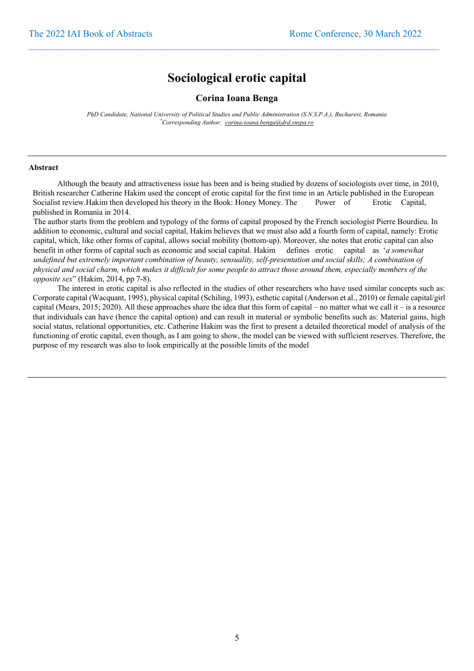## **Sociological erotic capital**

 $\_$  , and the state of the state of the state of the state of the state of the state of the state of the state of the state of the state of the state of the state of the state of the state of the state of the state of the

**Corina Ioana Benga**

*PhD Candidate, National University of Political Studies and Public Administration (S.N.S.P.A.), Bucharest, Romania \* Corresponding Author: corina-ioana.benga@drd.snspa.ro*

#### **Abstract**

Although the beauty and attractiveness issue has been and is being studied by dozens of sociologists over time, in 2010, British researcher Catherine Hakim used the concept of erotic capital for the first time in an Article published in the European Socialist review.Hakim then developed his theory in the Book: Honey Money. The Power of Erotic Capital, published in Romania in 2014.

The author starts from the problem and typology of the forms of capital proposed by the French sociologist Pierre Bourdieu. In addition to economic, cultural and social capital, Hakim believes that we must also add a fourth form of capital, namely: Erotic capital, which, like other forms of capital, allows social mobility (bottom-up). Moreover, she notes that erotic capital can also benefit in other forms of capital such as economic and social capital. Hakim defines erotic capital as '*a somewhat undefined but extremely important combination of beauty, sensuality, self-presentation and social skills; A combination of physical and social charm, which makes it difficult for some people to attract those around them, especially members of the opposite sex*" (Hakim, 2014, pp 7-8).

The interest in erotic capital is also reflected in the studies of other researchers who have used similar concepts such as: Corporate capital (Wacquant, 1995), physical capital (Schiling, 1993), esthetic capital (Anderson et al., 2010) or female capital/girl capital (Mears, 2015; 2020). All these approaches share the idea that this form of capital – no matter what we call it – is a resource that individuals can have (hence the capital option) and can result in material or symbolic benefits such as: Material gains, high social status, relational opportunities, etc. Catherine Hakim was the first to present a detailed theoretical model of analysis of the functioning of erotic capital, even though, as I am going to show, the model can be viewed with sufficient reserves. Therefore, the purpose of my research was also to look empirically at the possible limits of the model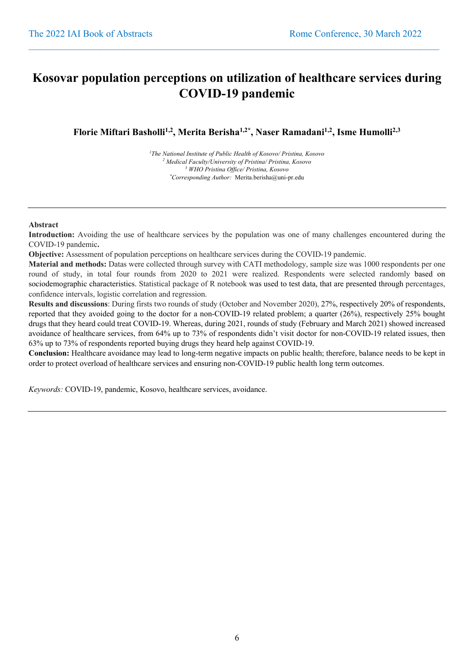## **Kosovar population perceptions on utilization of healthcare services during COVID-19 pandemic**

 $\_$  , and the state of the state of the state of the state of the state of the state of the state of the state of the state of the state of the state of the state of the state of the state of the state of the state of the

Florie Miftari Basholli<sup>1,2</sup>, Merita Berisha<sup>1,2\*</sup>, Naser Ramadani<sup>1,2</sup>, Isme Humolli<sup>2,3</sup>

 *The National Institute of Public Health of Kosovo/ Pristina, Kosovo Medical Faculty/University of Pristina/ Pristina, Kosovo WHO Pristina Office/ Pristina, Kosovo \* Corresponding Author:* Merita.berisha@uni-pr.edu

#### **Abstract**

**Introduction:** Avoiding the use of healthcare services by the population was one of many challenges encountered during the COVID-19 pandemic**.**

**Objective:** Assessment of population perceptions on healthcare services during the COVID-19 pandemic.

**Material and methods:** Datas were collected through survey with CATI methodology, sample size was 1000 respondents per one round of study, in total four rounds from 2020 to 2021 were realized. Respondents were selected randomly based on sociodemographic characteristics. Statistical package of R notebook was used to test data, that are presented through percentages, confidence intervals, logistic correlation and regression.

**Results and discussions**: During firsts two rounds of study (October and November 2020), 27%, respectively 20% of respondents, reported that they avoided going to the doctor for a non-COVID-19 related problem; a quarter (26%), respectively 25% bought drugs that they heard could treat COVID-19. Whereas, during 2021, rounds of study (February and March 2021) showed increased avoidance of healthcare services, from 64% up to 73% of respondents didn't visit doctor for non-COVID-19 related issues, then 63% up to 73% of respondents reported buying drugs they heard help against COVID-19.

**Conclusion:** Healthcare avoidance may lead to long-term negative impacts on public health; therefore, balance needs to be kept in order to protect overload of healthcare services and ensuring non-COVID-19 public health long term outcomes.

*Keywords:* COVID-19, pandemic, Kosovo, healthcare services, avoidance.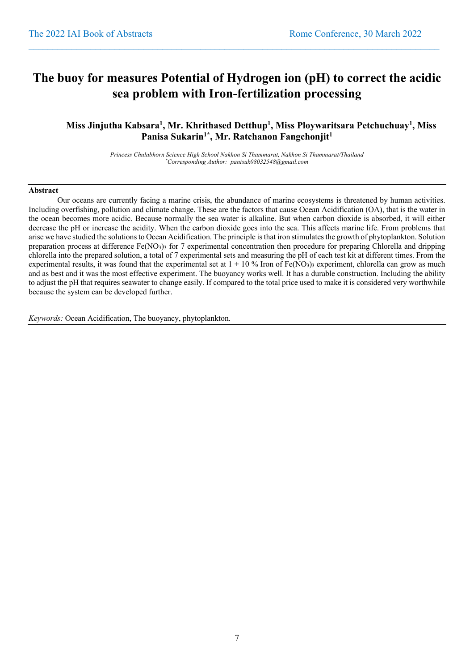## **The buoy for measures Potential of Hydrogen ion (pH) to correct the acidic sea problem with Iron-fertilization processing**

 $\_$  , and the state of the state of the state of the state of the state of the state of the state of the state of the state of the state of the state of the state of the state of the state of the state of the state of the

### **Miss Jinjutha Kabsara1 , Mr. Khrithased Detthup1 , Miss Ploywaritsara Petchuchuay1 , Miss Panisa Sukarin1\* , Mr. Ratchanon Fangchonjit1**

*Princess Chulabhorn Science High School Nakhon Si Thammarat, Nakhon Si Thammarat/Thailand \* Corresponding Author: panisuk08032548@gmail.com*

#### **Abstract**

Our oceans are currently facing a marine crisis, the abundance of marine ecosystems is threatened by human activities. Including overfishing, pollution and climate change. These are the factors that cause Ocean Acidification (OA), that is the water in the ocean becomes more acidic. Because normally the sea water is alkaline. But when carbon dioxide is absorbed, it will either decrease the pH or increase the acidity. When the carbon dioxide goes into the sea. This affects marine life. From problems that arise we have studied the solutions to Ocean Acidification. The principle is that iron stimulates the growth of phytoplankton. Solution preparation process at difference  $Fe(NO<sub>3</sub>)<sub>3</sub>$  for 7 experimental concentration then procedure for preparing Chlorella and dripping chlorella into the prepared solution, a total of 7 experimental sets and measuring the pH of each test kit at different times. From the experimental results, it was found that the experimental set at  $1 + 10\%$  Iron of Fe(NO3)3 experiment, chlorella can grow as much and as best and it was the most effective experiment. The buoyancy works well. It has a durable construction. Including the ability to adjust the pH that requires seawater to change easily. If compared to the total price used to make it is considered very worthwhile because the system can be developed further.

*Keywords:* Ocean Acidification, The buoyancy, phytoplankton.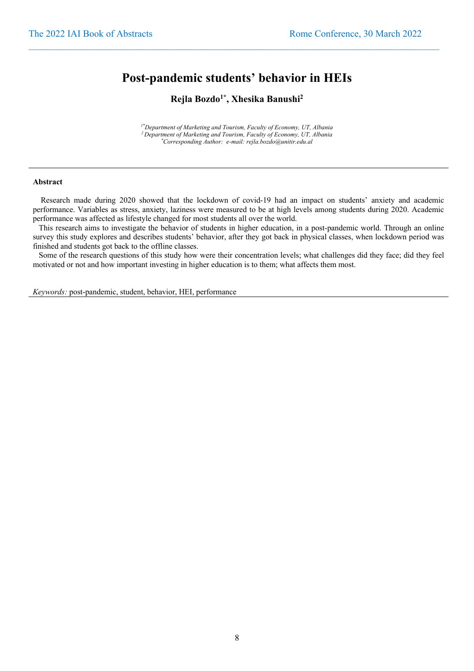### **Post-pandemic students' behavior in HEIs**

 $\_$  , and the state of the state of the state of the state of the state of the state of the state of the state of the state of the state of the state of the state of the state of the state of the state of the state of the

### **Rejla Bozdo1\* , Xhesika Banushi2**

*1\*Department of Marketing and Tourism, Faculty of Economy, UT, Albania 2 Department of Marketing and Tourism, Faculty of Economy, UT, Albania \* Corresponding Author: e-mail: rejla.bozdo@unitir.edu.al*

#### **Abstract**

 Research made during 2020 showed that the lockdown of covid-19 had an impact on students' anxiety and academic performance. Variables as stress, anxiety, laziness were measured to be at high levels among students during 2020. Academic performance was affected as lifestyle changed for most students all over the world.

 This research aims to investigate the behavior of students in higher education, in a post-pandemic world. Through an online survey this study explores and describes students' behavior, after they got back in physical classes, when lockdown period was finished and students got back to the offline classes.

 Some of the research questions of this study how were their concentration levels; what challenges did they face; did they feel motivated or not and how important investing in higher education is to them; what affects them most.

*Keywords:* post-pandemic, student, behavior, HEI, performance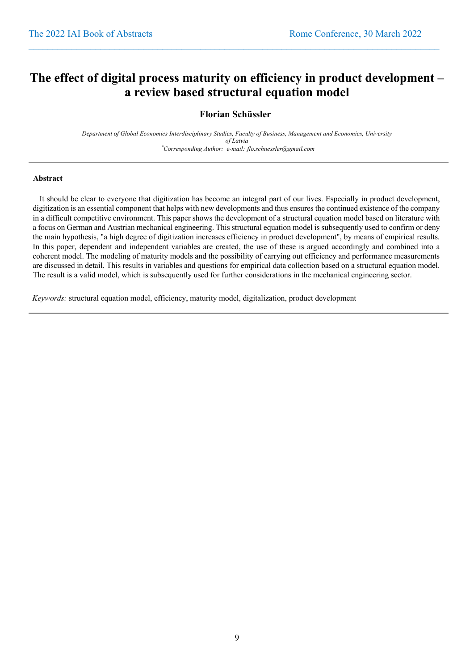## **The effect of digital process maturity on efficiency in product development – a review based structural equation model**

 $\_$  , and the state of the state of the state of the state of the state of the state of the state of the state of the state of the state of the state of the state of the state of the state of the state of the state of the

### **Florian Schüssler**

*Department of Global Economics Interdisciplinary Studies, Faculty of Business, Management and Economics, University of Latvia \* Corresponding Author: e-mail: flo.schuessler@gmail.com*

#### **Abstract**

 It should be clear to everyone that digitization has become an integral part of our lives. Especially in product development, digitization is an essential component that helps with new developments and thus ensures the continued existence of the company in a difficult competitive environment. This paper shows the development of a structural equation model based on literature with a focus on German and Austrian mechanical engineering. This structural equation model is subsequently used to confirm or deny the main hypothesis, "a high degree of digitization increases efficiency in product development", by means of empirical results. In this paper, dependent and independent variables are created, the use of these is argued accordingly and combined into a coherent model. The modeling of maturity models and the possibility of carrying out efficiency and performance measurements are discussed in detail. This results in variables and questions for empirical data collection based on a structural equation model. The result is a valid model, which is subsequently used for further considerations in the mechanical engineering sector.

*Keywords:* structural equation model, efficiency, maturity model, digitalization, product development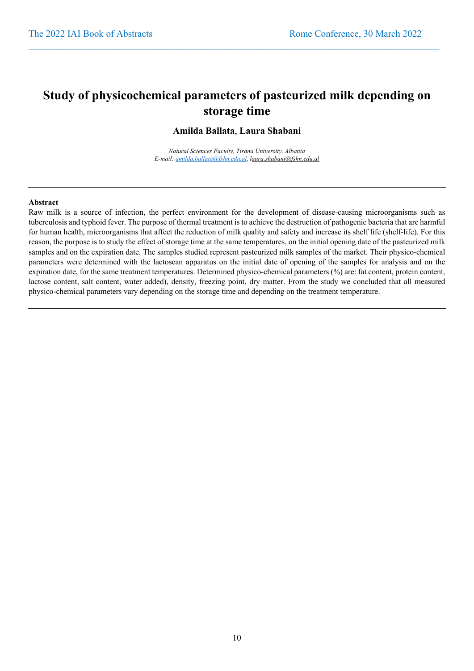## **Study of physicochemical parameters of pasteurized milk depending on storage time**

 $\_$  , and the state of the state of the state of the state of the state of the state of the state of the state of the state of the state of the state of the state of the state of the state of the state of the state of the

#### **Amilda Ballata**, **Laura Shabani**

*Natural Sciences Faculty, Tirana University, Albania E-mail: amilda.ballata@fshn.edu.al, laura.shabani@fshn.edu.al*

#### **Abstract**

Raw milk is a source of infection, the perfect environment for the development of disease-causing microorganisms such as tuberculosis and typhoid fever. The purpose of thermal treatment is to achieve the destruction of pathogenic bacteria that are harmful for human health, microorganisms that affect the reduction of milk quality and safety and increase its shelf life (shelf-life). For this reason, the purpose is to study the effect of storage time at the same temperatures, on the initial opening date of the pasteurized milk samples and on the expiration date. The samples studied represent pasteurized milk samples of the market. Their physico-chemical parameters were determined with the lactoscan apparatus on the initial date of opening of the samples for analysis and on the expiration date, for the same treatment temperatures. Determined physico-chemical parameters (%) are: fat content, protein content, lactose content, salt content, water added), density, freezing point, dry matter. From the study we concluded that all measured physico-chemical parameters vary depending on the storage time and depending on the treatment temperature.